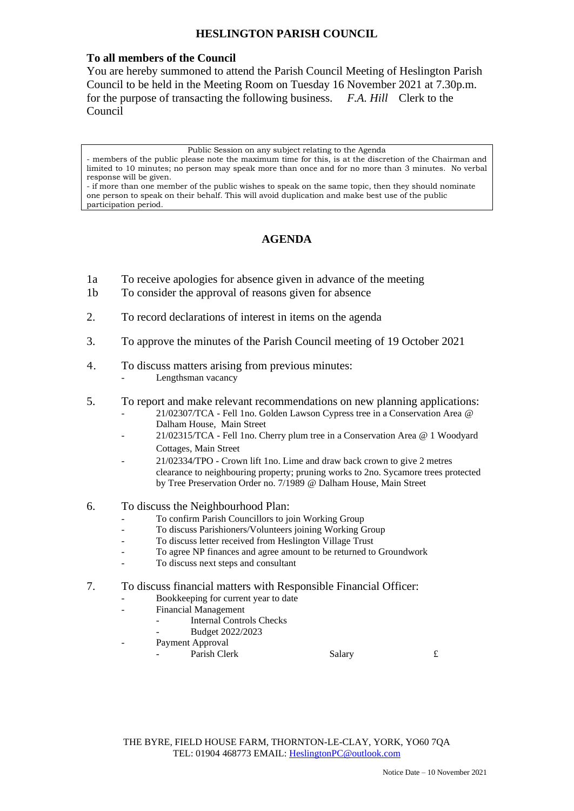## **HESLINGTON PARISH COUNCIL**

### **To all members of the Council**

You are hereby summoned to attend the Parish Council Meeting of Heslington Parish Council to be held in the Meeting Room on Tuesday 16 November 2021 at 7.30p.m. for the purpose of transacting the following business. *F.A. Hill* Clerk to the Council

Public Session on any subject relating to the Agenda

- members of the public please note the maximum time for this, is at the discretion of the Chairman and limited to 10 minutes; no person may speak more than once and for no more than 3 minutes. No verbal response will be given.

- if more than one member of the public wishes to speak on the same topic, then they should nominate one person to speak on their behalf. This will avoid duplication and make best use of the public participation period.

## **AGENDA**

- 1a To receive apologies for absence given in advance of the meeting
- 1b To consider the approval of reasons given for absence
- 2. To record declarations of interest in items on the agenda
- 3. To approve the minutes of the Parish Council meeting of 19 October 2021

# 4. To discuss matters arising from previous minutes:

Lengthsman vacancy

- 5. To report and make relevant recommendations on new planning applications:
	- 21/02307/TCA Fell 1no. Golden Lawson Cypress tree in a Conservation Area @ Dalham House, Main Street
	- 21/02315/TCA Fell 1no. Cherry plum tree in a Conservation Area @ 1 Woodyard Cottages, Main Street
	- 21/02334/TPO Crown lift 1no. Lime and draw back crown to give 2 metres clearance to neighbouring property; pruning works to 2no. Sycamore trees protected by Tree Preservation Order no. 7/1989 @ Dalham House, Main Street
- 6. To discuss the Neighbourhood Plan:
	- To confirm Parish Councillors to join Working Group
	- To discuss Parishioners/Volunteers joining Working Group
	- To discuss letter received from Heslington Village Trust
	- To agree NP finances and agree amount to be returned to Groundwork
	- To discuss next steps and consultant
- 7. To discuss financial matters with Responsible Financial Officer:
	- Bookkeeping for current year to date
	- Financial Management
		- Internal Controls Checks
		- Budget 2022/2023
	- Payment Approval
		- Parish Clerk Salary 5. Salary £